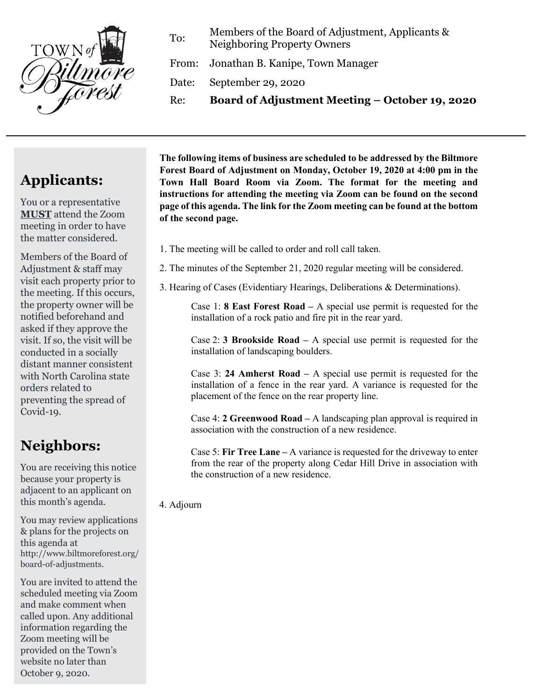

To: Members of the Board of Adjustment, Applicants & Neighboring Property Owners

From: Jonathan B. Kanipe, Town Manager

Date: September 29, 2020

Re: **Board of Adjustment Meeting – October 19, 2020**

## **Applicants:**

You or a representative **MUST** attend the Zoom meeting in order to have the matter considered.

Members of the Board of Adjustment & staff may visit each property prior to the meeting. If this occurs, the property owner will be notified beforehand and asked if they approve the visit. If so, the visit will be conducted in a socially distant manner consistent with North Carolina state orders related to preventing the spread of Covid-19.

## **Neighbors:**

You are receiving this notice because your property is adjacent to an applicant on this month's agenda.

You may review applications & plans for the projects on this agenda at http://www.biltmoreforest.org/ board-of-adjustments.

You are invited to attend the scheduled meeting via Zoom and make comment when called upon. Any additional information regarding the Zoom meeting will be provided on the Town's website no later than October 9, 2020.

**The following items of business are scheduled to be addressed by the Biltmore Forest Board of Adjustment on Monday, October 19, 2020 at 4:00 pm in the Town Hall Board Room via Zoom. The format for the meeting and instructions for attending the meeting via Zoom can be found on the second page of this agenda. The link for the Zoom meeting can be found at the bottom of the second page.**

- 1. The meeting will be called to order and roll call taken.
- 2. The minutes of the September 21, 2020 regular meeting will be considered.
- 3. Hearing of Cases (Evidentiary Hearings, Deliberations & Determinations).

Case 1: **8 East Forest Road –** A special use permit is requested for the installation of a rock patio and fire pit in the rear yard.

Case 2: **3 Brookside Road –** A special use permit is requested for the installation of landscaping boulders.

Case 3: **24 Amherst Road –** A special use permit is requested for the installation of a fence in the rear yard. A variance is requested for the placement of the fence on the rear property line.

Case 4: **2 Greenwood Road –** A landscaping plan approval is required in association with the construction of a new residence.

Case 5: **Fir Tree Lane –** A variance is requested for the driveway to enter from the rear of the property along Cedar Hill Drive in association with the construction of a new residence.

4. Adjourn